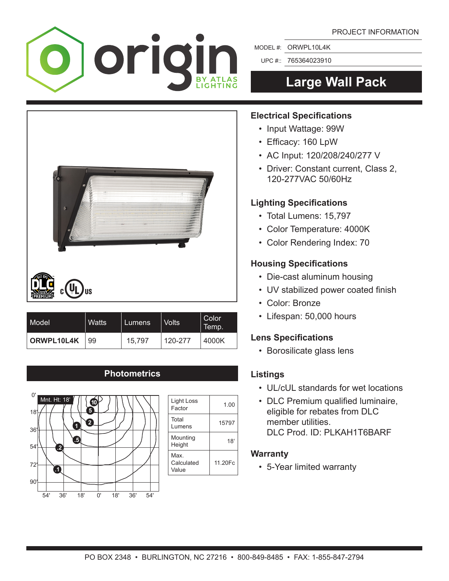

MODEL #: ORWPL10L4K

UPC #:: 765364023910

# **Large Wall Pack**



- Input Wattage: 99W
- • Efficacy: 160 LpW
- AC Input: 120/208/240/277 V
- Driver: Constant current, Class 2, 120-277VAC 50/60Hz

### **Lighting Specifications**

- • Total Lumens: 15,797
- • Color Temperature: 4000K
- • Color Rendering Index: 70

### **Housing Specifications**

- Die-cast aluminum housing
- UV stabilized power coated finish
- Color: Bronze
- • Lifespan: 50,000 hours

### **Lens Specifications**

 • Borosilicate glass lens

### **Listings**

- • UL/cUL standards for wet locations
- DLC Premium qualified luminaire, eligible for rebates from DLC member utilities. DLC Prod. ID: PLKAH1T6BARF

### **Warranty**

 • 5-Year limited warranty



| Model <sup>1</sup> | Watts | Lumens. | <b>Volts</b> | Color<br>Temp. |
|--------------------|-------|---------|--------------|----------------|
| ORWPL10L4K         | 99    | 15.797  | 120-277      | 4000K          |

### **Photometrics**



| Light Loss<br>Factor        | 1.00    |
|-----------------------------|---------|
| Total<br>Lumens             | 15797   |
| Mounting<br>Height          | 18'     |
| Max.<br>Calculated<br>Value | 11.20Fc |